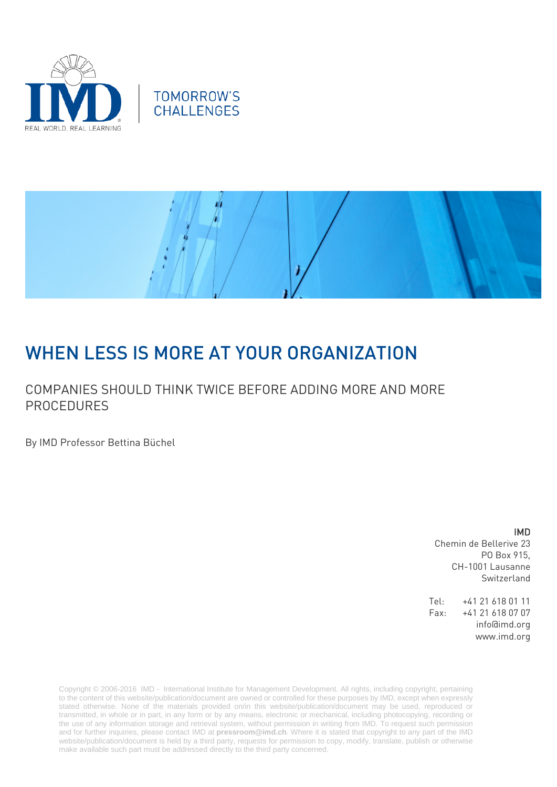





# WHEN LESS IS MORE AT YOUR ORGANIZATION

### COMPANIES SHOULD THINK TWICE BEFORE ADDING MORE AND MORE PROCEDURES

By IMD Professor Bettina Büchel

### IMD

Chemin de Bellerive 23 PO Box 915, CH-1001 Lausanne Switzerland

Tel: +41 21 618 01 11 Fax: +41 21 618 07 07 info@imd.org www.imd.org

Copyright © 2006-2016 IMD - International Institute for Management Development. All rights, including copyright, pertaining to the content of this website/publication/document are owned or controlled for these purposes by IMD, except when expressly stated otherwise. None of the materials provided on/in this website/publication/document may be used, reproduced or transmitted, in whole or in part, in any form or by any means, electronic or mechanical, including photocopying, recording or the use of any information storage and retrieval system, without permission in writing from IMD. To request such permission and for further inquiries, please contact IMD at **[pressroom@imd.ch](mailto:pressroom@imd.ch)**. Where it is stated that copyright to any part of the IMD website/publication/document is held by a third party, requests for permission to copy, modify, translate, publish or otherwise make available such part must be addressed directly to the third party concerned.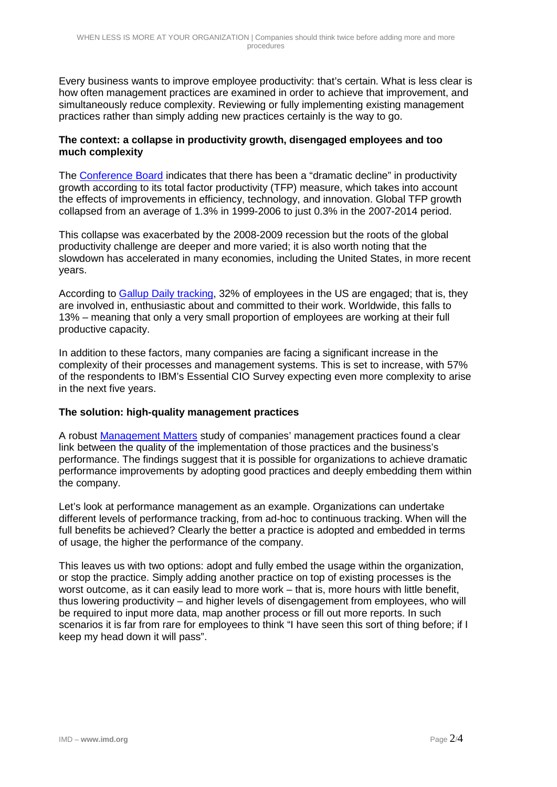Every business wants to improve employee productivity: that's certain. What is less clear is how often management practices are examined in order to achieve that improvement, and simultaneously reduce complexity. Reviewing or fully implementing existing management practices rather than simply adding new practices certainly is the way to go.

### **The context: a collapse in productivity growth, disengaged employees and too much complexity**

The [Conference Board](https://www.conference-board.org/) indicates that there has been a "dramatic decline" in productivity growth according to its total factor productivity (TFP) measure, which takes into account the effects of improvements in efficiency, technology, and innovation. Global TFP growth collapsed from an average of 1.3% in 1999-2006 to just 0.3% in the 2007-2014 period.

This collapse was exacerbated by the 2008-2009 recession but the roots of the global productivity challenge are deeper and more varied; it is also worth noting that the slowdown has accelerated in many economies, including the United States, in more recent years.

According to [Gallup Daily tracking,](http://www.gallup.com/services/170948/gallup-daily-tracking.aspx) 32% of employees in the US are engaged; that is, they are involved in, enthusiastic about and committed to their work. Worldwide, this falls to 13% – meaning that only a very small proportion of employees are working at their full productive capacity.

In addition to these factors, many companies are facing a significant increase in the complexity of their processes and management systems. This is set to increase, with 57% of the respondents to IBM's Essential CIO Survey expecting even more complexity to arise in the next five years.

### **The solution: high-quality management practices**

A robust [Management Matters](http://web.stanford.edu/%7Enbloom/ManagementReport.pdf) study of companies' management practices found a clear link between the quality of the implementation of those practices and the business's performance. The findings suggest that it is possible for organizations to achieve dramatic performance improvements by adopting good practices and deeply embedding them within the company.

Let's look at performance management as an example. Organizations can undertake different levels of performance tracking, from ad-hoc to continuous tracking. When will the full benefits be achieved? Clearly the better a practice is adopted and embedded in terms of usage, the higher the performance of the company.

This leaves us with two options: adopt and fully embed the usage within the organization, or stop the practice. Simply adding another practice on top of existing processes is the worst outcome, as it can easily lead to more work – that is, more hours with little benefit, thus lowering productivity – and higher levels of disengagement from employees, who will be required to input more data, map another process or fill out more reports. In such scenarios it is far from rare for employees to think "I have seen this sort of thing before; if I keep my head down it will pass".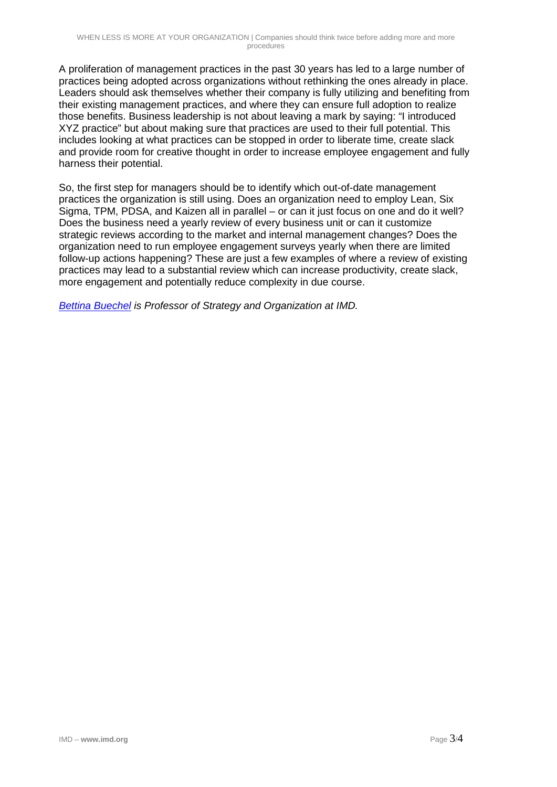A proliferation of management practices in the past 30 years has led to a large number of practices being adopted across organizations without rethinking the ones already in place. Leaders should ask themselves whether their company is fully utilizing and benefiting from their existing management practices, and where they can ensure full adoption to realize those benefits. Business leadership is not about leaving a mark by saying: "I introduced XYZ practice" but about making sure that practices are used to their full potential. This includes looking at what practices can be stopped in order to liberate time, create slack and provide room for creative thought in order to increase employee engagement and fully harness their potential.

So, the first step for managers should be to identify which out-of-date management practices the organization is still using. Does an organization need to employ Lean, Six Sigma, TPM, PDSA, and Kaizen all in parallel – or can it just focus on one and do it well? Does the business need a yearly review of every business unit or can it customize strategic reviews according to the market and internal management changes? Does the organization need to run employee engagement surveys yearly when there are limited follow-up actions happening? These are just a few examples of where a review of existing practices may lead to a substantial review which can increase productivity, create slack, more engagement and potentially reduce complexity in due course.

*[Bettina Buechel](http://www.imd.org/about/facultystaff/buchel.cfm) is Professor of Strategy and Organization at IMD.*